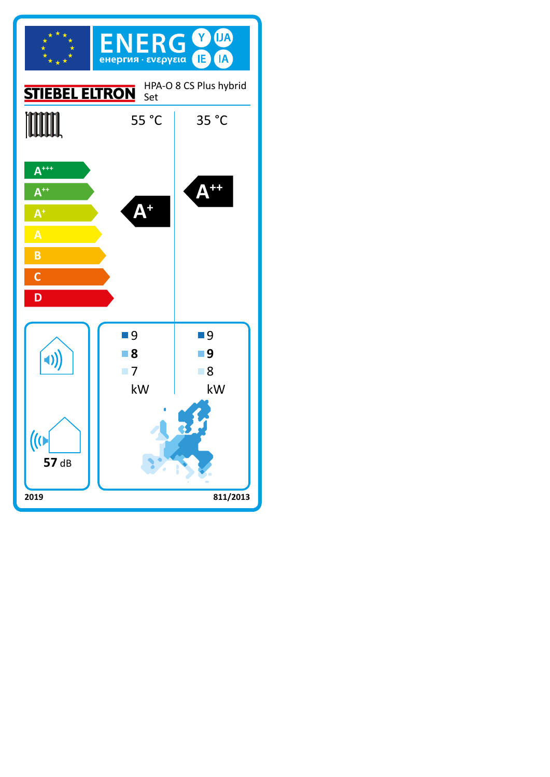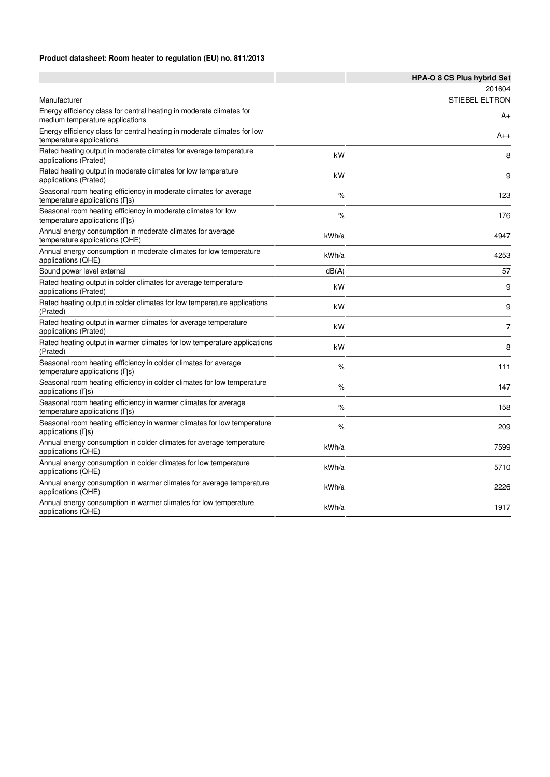### **Product datasheet: Room heater to regulation (EU) no. 811/2013**

|                                                                                                                    |       | HPA-O 8 CS Plus hybrid Set |
|--------------------------------------------------------------------------------------------------------------------|-------|----------------------------|
|                                                                                                                    |       | 201604                     |
| Manufacturer                                                                                                       |       | <b>STIEBEL ELTRON</b>      |
| Energy efficiency class for central heating in moderate climates for<br>medium temperature applications            |       | A+                         |
| Energy efficiency class for central heating in moderate climates for low<br>temperature applications               |       | A++                        |
| Rated heating output in moderate climates for average temperature<br>applications (Prated)                         | kW    | 8                          |
| Rated heating output in moderate climates for low temperature<br>applications (Prated)                             | kW    | 9                          |
| Seasonal room heating efficiency in moderate climates for average<br>temperature applications (ns)                 | %     | 123                        |
| Seasonal room heating efficiency in moderate climates for low<br>temperature applications (ns)                     | %     | 176                        |
| Annual energy consumption in moderate climates for average<br>temperature applications (QHE)                       | kWh/a | 4947                       |
| Annual energy consumption in moderate climates for low temperature<br>applications (QHE)                           | kWh/a | 4253                       |
| Sound power level external                                                                                         | dB(A) | 57                         |
| Rated heating output in colder climates for average temperature<br>applications (Prated)                           | kW    | 9                          |
| Rated heating output in colder climates for low temperature applications<br>(Prated)                               | kW    | 9                          |
| Rated heating output in warmer climates for average temperature<br>applications (Prated)                           | kW    | $\overline{7}$             |
| Rated heating output in warmer climates for low temperature applications<br>(Prated)                               | kW    | 8                          |
| Seasonal room heating efficiency in colder climates for average<br>temperature applications (ns)                   | $\%$  | 111                        |
| Seasonal room heating efficiency in colder climates for low temperature<br>applications (ns)                       | %     | 147                        |
| Seasonal room heating efficiency in warmer climates for average<br>temperature applications $( \nabla \mathbf{s})$ | %     | 158                        |
| Seasonal room heating efficiency in warmer climates for low temperature<br>applications (ns)                       | %     | 209                        |
| Annual energy consumption in colder climates for average temperature<br>applications (QHE)                         | kWh/a | 7599                       |
| Annual energy consumption in colder climates for low temperature<br>applications (QHE)                             | kWh/a | 5710                       |
| Annual energy consumption in warmer climates for average temperature<br>applications (QHE)                         | kWh/a | 2226                       |
| Annual energy consumption in warmer climates for low temperature<br>applications (QHE)                             | kWh/a | 1917                       |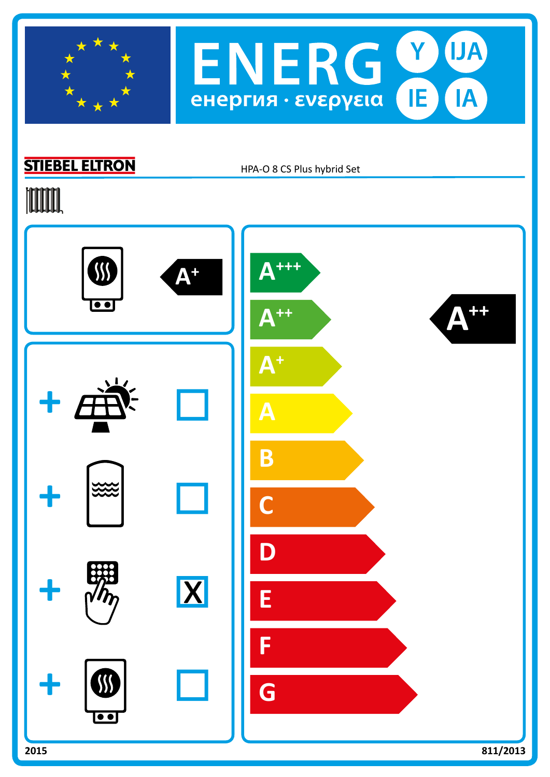



# **STIEBEL ELTRON**

HPA-O 8 CS Plus hybrid Set

# **TOOTAL**

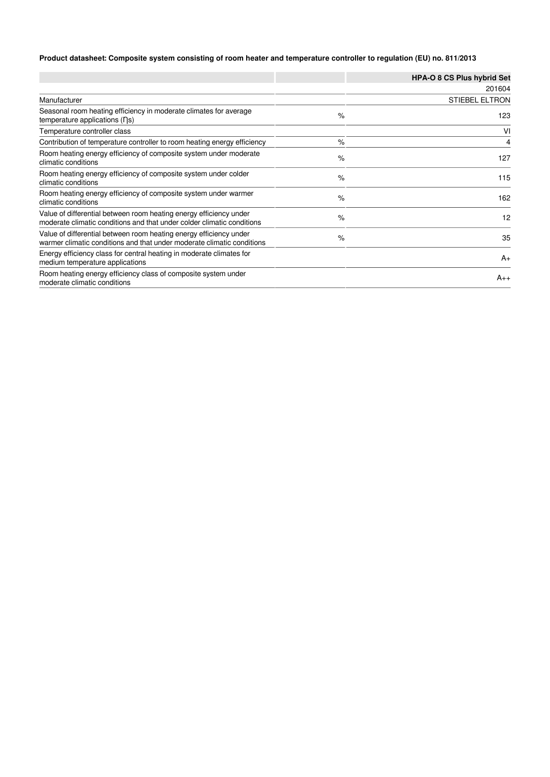### **Product datasheet: Composite system consisting of room heater and temperature controller to regulation (EU) no. 811/2013**

|                                                                                                                                              |      | <b>HPA-O 8 CS Plus hybrid Set</b> |
|----------------------------------------------------------------------------------------------------------------------------------------------|------|-----------------------------------|
|                                                                                                                                              |      | 201604                            |
| Manufacturer                                                                                                                                 |      | <b>STIEBEL ELTRON</b>             |
| Seasonal room heating efficiency in moderate climates for average<br>temperature applications $( \nabla \mathbf{s})$                         | $\%$ | 123                               |
| Temperature controller class                                                                                                                 |      | VI                                |
| Contribution of temperature controller to room heating energy efficiency                                                                     | $\%$ | 4                                 |
| Room heating energy efficiency of composite system under moderate<br>climatic conditions                                                     | $\%$ | 127                               |
| Room heating energy efficiency of composite system under colder<br>climatic conditions                                                       | $\%$ | 115                               |
| Room heating energy efficiency of composite system under warmer<br>climatic conditions                                                       | $\%$ | 162                               |
| Value of differential between room heating energy efficiency under<br>moderate climatic conditions and that under colder climatic conditions | $\%$ | 12                                |
| Value of differential between room heating energy efficiency under<br>warmer climatic conditions and that under moderate climatic conditions | $\%$ | 35                                |
| Energy efficiency class for central heating in moderate climates for<br>medium temperature applications                                      |      | $A_{+}$                           |
| Room heating energy efficiency class of composite system under<br>moderate climatic conditions                                               |      | $A_{++}$                          |